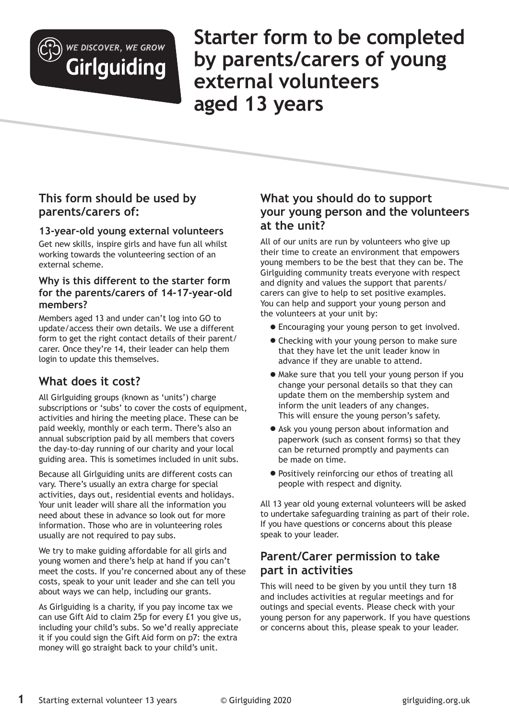

WE DISCOVER, WE GROW Girlguiding **Starter form to be completed by parents/carers of young external volunteers aged 13 years**

# **This form should be used by parents/carers of:**

#### **13-year-old young external volunteers**

Get new skills, inspire girls and have fun all whilst working towards the volunteering section of an external scheme.

#### **Why is this different to the starter form for the parents/carers of 14-17-year-old members?**

Members aged 13 and under can't log into GO to update/access their own details. We use a different form to get the right contact details of their parent/ carer. Once they're 14, their leader can help them login to update this themselves.

# **What does it cost?**

All Girlguiding groups (known as 'units') charge subscriptions or 'subs' to cover the costs of equipment, activities and hiring the meeting place. These can be paid weekly, monthly or each term. There's also an annual subscription paid by all members that covers the day-to-day running of our charity and your local guiding area. This is sometimes included in unit subs.

Because all Girlguiding units are different costs can vary. There's usually an extra charge for special activities, days out, residential events and holidays. Your unit leader will share all the information you need about these in advance so look out for more information. Those who are in volunteering roles usually are not required to pay subs.

We try to make guiding affordable for all girls and young women and there's help at hand if you can't meet the costs. If you're concerned about any of these costs, speak to your unit leader and she can tell you about ways we can help, including our grants.

As Girlguiding is a charity, if you pay income tax we can use Gift Aid to claim 25p for every £1 you give us, including your child's subs. So we'd really appreciate it if you could sign the Gift Aid form on p7: the extra money will go straight back to your child's unit.

# **What you should do to support your young person and the volunteers at the unit?**

All of our units are run by volunteers who give up their time to create an environment that empowers young members to be the best that they can be. The Girlguiding community treats everyone with respect and dignity and values the support that parents/ carers can give to help to set positive examples. You can help and support your young person and the volunteers at your unit by:

- P Encouraging your young person to get involved.
- Checking with your young person to make sure that they have let the unit leader know in advance if they are unable to attend.
- P Make sure that you tell your young person if you change your personal details so that they can update them on the membership system and inform the unit leaders of any changes. This will ensure the young person's safety.
- Ask you young person about information and paperwork (such as consent forms) so that they can be returned promptly and payments can be made on time.
- Positively reinforcing our ethos of treating all people with respect and dignity.

All 13 year old young external volunteers will be asked to undertake safeguarding training as part of their role. If you have questions or concerns about this please speak to your leader.

# **Parent/Carer permission to take part in activities**

This will need to be given by you until they turn 18 and includes activities at regular meetings and for outings and special events. Please check with your young person for any paperwork. If you have questions or concerns about this, please speak to your leader.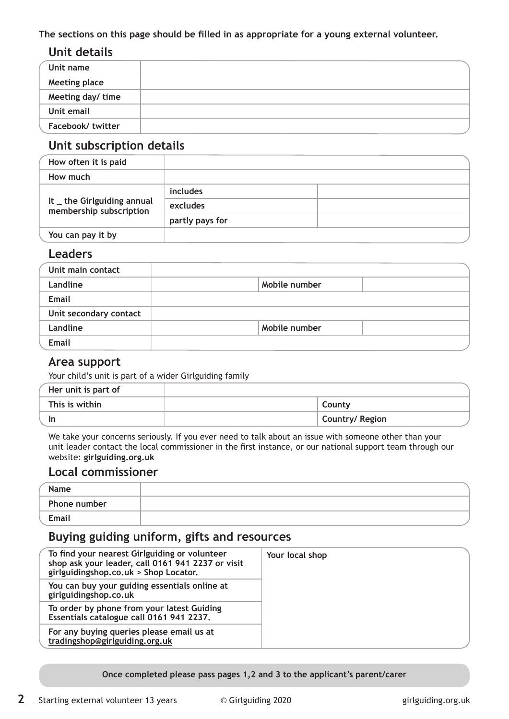**The sections on this page should be filled in as appropriate for a young external volunteer.**

# **Unit details**

| Unit name            |  |
|----------------------|--|
| <b>Meeting place</b> |  |
| Meeting day/ time    |  |
| Unit email           |  |
| Facebook/twitter     |  |

# **Unit subscription details**

| How often it is paid                                   |                 |  |
|--------------------------------------------------------|-----------------|--|
| How much                                               |                 |  |
| It _ the Girlguiding annual<br>membership subscription | includes        |  |
|                                                        | excludes        |  |
|                                                        | partly pays for |  |
| You can pay it by                                      |                 |  |

#### **Leaders**

| Unit main contact      |               |  |
|------------------------|---------------|--|
| Landline               | Mobile number |  |
| <b>Email</b>           |               |  |
| Unit secondary contact |               |  |
| Landline               | Mobile number |  |
| Email                  |               |  |

#### **Area support**

Your child's unit is part of a wider Girlguiding family

| Her unit is part of |  |                 |
|---------------------|--|-----------------|
| This is within      |  | County          |
| ın                  |  | Country/ Region |

We take your concerns seriously. If you ever need to talk about an issue with someone other than your unit leader contact the local commissioner in the first instance, or our national support team through our website: **girlguiding.org.uk** 

### **Local commissioner**

| Name                |  |
|---------------------|--|
| <b>Phone number</b> |  |
| Email               |  |

# **Buying guiding uniform, gifts and resources**

| To find your nearest Girlguiding or volunteer<br>shop ask your leader, call 0161 941 2237 or visit<br>girlguidingshop.co.uk > Shop Locator. | Your local shop |
|---------------------------------------------------------------------------------------------------------------------------------------------|-----------------|
| You can buy your guiding essentials online at<br>girlguidingshop.co.uk                                                                      |                 |
| To order by phone from your latest Guiding<br>Essentials catalogue call 0161 941 2237.                                                      |                 |
| For any buying queries please email us at<br>tradingshop@girlguiding.org.uk                                                                 |                 |

**Once completed please pass pages 1,2 and 3 to the applicant's parent/carer**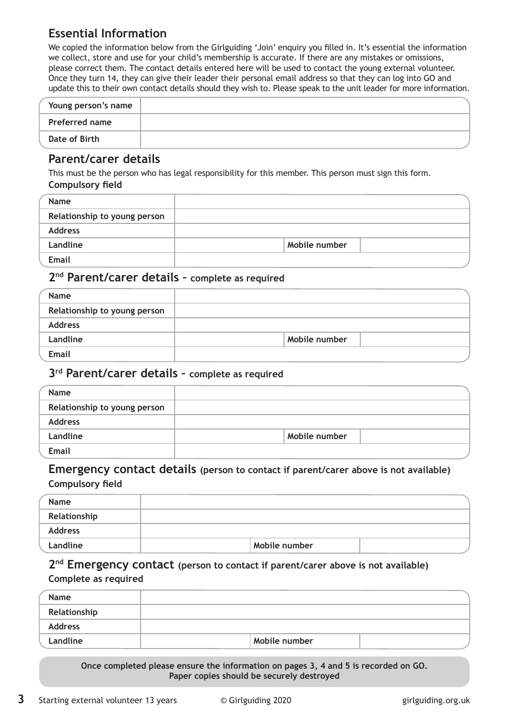# **Essential Information**

We copied the information below from the Girlguiding 'Join' enquiry you filled in. It's essential the information we collect, store and use for your child's membership is accurate. If there are any mistakes or omissions, please correct them. The contact details entered here will be used to contact the young external volunteer. Once they turn 14, they can give their leader their personal email address so that they can log into GO and update this to their own contact details should they wish to. Please speak to the unit leader for more information.

| Young person's name   |  |
|-----------------------|--|
| <b>Preferred name</b> |  |
| Date of Birth         |  |

### **Parent/carer details**

This must be the person who has legal responsibility for this member. This person must sign this form. **Compulsory field**

| <b>Name</b>                  |               |  |
|------------------------------|---------------|--|
| Relationship to young person |               |  |
| <b>Address</b>               |               |  |
| Landline                     | Mobile number |  |
| Email                        |               |  |

### **2nd Parent/carer details – complete as required**

| Name                         |               |
|------------------------------|---------------|
| Relationship to young person |               |
| <b>Address</b>               |               |
| Landline                     | Mobile number |
| <b>Email</b>                 |               |

#### **3rd Parent/carer details – complete as required**

| Name                         |               |  |
|------------------------------|---------------|--|
| Relationship to young person |               |  |
| <b>Address</b>               |               |  |
| Landline                     | Mobile number |  |
| Email                        |               |  |

### **Emergency contact details (person to contact if parent/carer above is not available) Compulsory field**

| Name           |               |  |
|----------------|---------------|--|
| Relationship   |               |  |
| <b>Address</b> |               |  |
| Landline       | Mobile number |  |

### **2nd Emergency contact (person to contact if parent/carer above is not available) Complete as required**

| Name           |               |  |
|----------------|---------------|--|
| Relationship   |               |  |
| <b>Address</b> |               |  |
| Landline       | Mobile number |  |

**Once completed please ensure the information on pages 3, 4 and 5 is recorded on GO. Paper copies should be securely destroyed**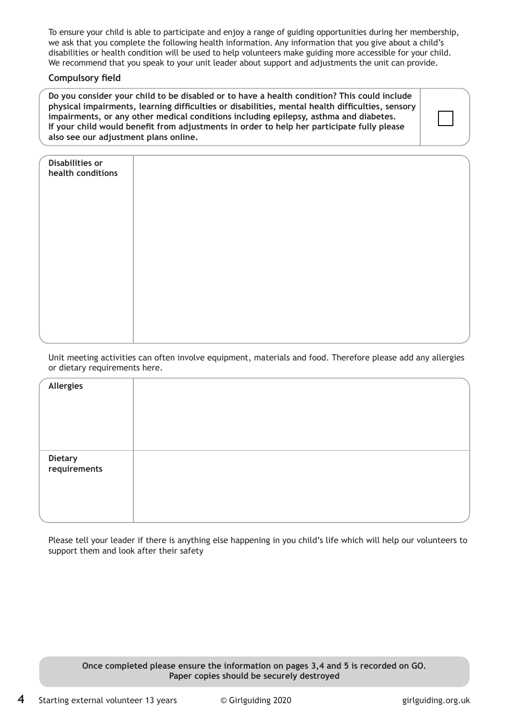To ensure your child is able to participate and enjoy a range of guiding opportunities during her membership, we ask that you complete the following health information. Any information that you give about a child's disabilities or health condition will be used to help volunteers make guiding more accessible for your child. We recommend that you speak to your unit leader about support and adjustments the unit can provide.

#### **Compulsory field**

**Do you consider your child to be disabled or to have a health condition? This could include physical impairments, learning difficulties or disabilities, mental health difficulties, sensory impairments, or any other medical conditions including epilepsy, asthma and diabetes. If your child would benefit from adjustments in order to help her participate fully please also see our adjustment plans online.** 

| Disabilities or<br>health conditions |  |  |
|--------------------------------------|--|--|
|                                      |  |  |
|                                      |  |  |
|                                      |  |  |
|                                      |  |  |
|                                      |  |  |
|                                      |  |  |

Unit meeting activities can often involve equipment, materials and food. Therefore please add any allergies or dietary requirements here.

| Allergies               |  |
|-------------------------|--|
|                         |  |
|                         |  |
| Dietary<br>requirements |  |
|                         |  |
|                         |  |

Please tell your leader if there is anything else happening in you child's life which will help our volunteers to support them and look after their safety

#### **Once completed please ensure the information on pages 3,4 and 5 is recorded on GO. Paper copies should be securely destroyed**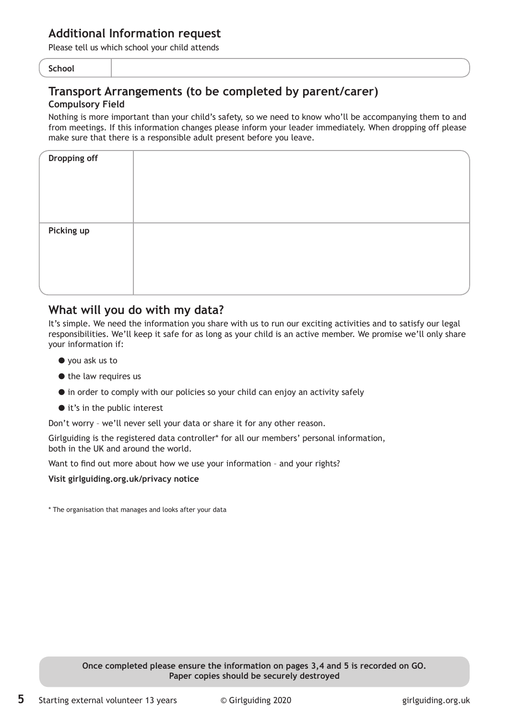### **Additional Information request**

Please tell us which school your child attends

#### **School**

# **Transport Arrangements (to be completed by parent/carer)**

#### **Compulsory Field**

Nothing is more important than your child's safety, so we need to know who'll be accompanying them to and from meetings. If this information changes please inform your leader immediately. When dropping off please make sure that there is a responsible adult present before you leave.

| Dropping off |  |
|--------------|--|
|              |  |
|              |  |
| Picking up   |  |
|              |  |
|              |  |

### **What will you do with my data?**

It's simple. We need the information you share with us to run our exciting activities and to satisfy our legal responsibilities. We'll keep it safe for as long as your child is an active member. We promise we'll only share your information if:

- $\bullet$  you ask us to
- $\bullet$  the law requires us
- P in order to comply with our policies so your child can enjoy an activity safely
- $\bullet$  it's in the public interest

Don't worry – we'll never sell your data or share it for any other reason.

Girlguiding is the registered data controller\* for all our members' personal information, both in the UK and around the world.

Want to find out more about how we use your information – and your rights?

**Visit girlguiding.org.uk/privacy notice**

\* The organisation that manages and looks after your data

**Once completed please ensure the information on pages 3,4 and 5 is recorded on GO. Paper copies should be securely destroyed**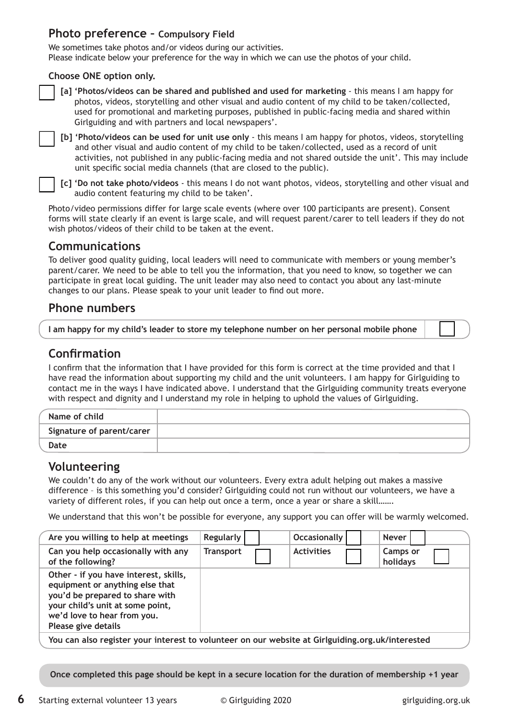#### **Photo preference – Compulsory Field**

We sometimes take photos and/or videos during our activities. Please indicate below your preference for the way in which we can use the photos of your child.

#### **Choose ONE option only.**



**[a] 'Photos/videos can be shared and published and used for marketing** - this means I am happy for photos, videos, storytelling and other visual and audio content of my child to be taken/collected, used for promotional and marketing purposes, published in public-facing media and shared within Girlguiding and with partners and local newspapers'.

**[b] 'Photo/videos can be used for unit use only** - this means I am happy for photos, videos, storytelling and other visual and audio content of my child to be taken/collected, used as a record of unit activities, not published in any public-facing media and not shared outside the unit'. This may include unit specific social media channels (that are closed to the public).

**[c] 'Do not take photo/videos** - this means I do not want photos, videos, storytelling and other visual and audio content featuring my child to be taken'.

Photo/video permissions differ for large scale events (where over 100 participants are present). Consent forms will state clearly if an event is large scale, and will request parent/carer to tell leaders if they do not wish photos/videos of their child to be taken at the event.

### **Communications**

To deliver good quality guiding, local leaders will need to communicate with members or young member's parent/carer. We need to be able to tell you the information, that you need to know, so together we can participate in great local guiding. The unit leader may also need to contact you about any last-minute changes to our plans. Please speak to your unit leader to find out more.

### **Phone numbers**

| I am happy for my child's leader to store my telephone number on her personal mobile phone |  |  |
|--------------------------------------------------------------------------------------------|--|--|
|                                                                                            |  |  |

# **Confirmation**

I confirm that the information that I have provided for this form is correct at the time provided and that I have read the information about supporting my child and the unit volunteers. I am happy for Girlguiding to contact me in the ways I have indicated above. I understand that the Girlguiding community treats everyone with respect and dignity and I understand my role in helping to uphold the values of Girlguiding.

| Name of child             |  |
|---------------------------|--|
| Signature of parent/carer |  |
| Date                      |  |

#### **Volunteering**

We couldn't do any of the work without our volunteers. Every extra adult helping out makes a massive difference – is this something you'd consider? Girlguiding could not run without our volunteers, we have a variety of different roles, if you can help out once a term, once a year or share a skill…….

We understand that this won't be possible for everyone, any support you can offer will be warmly welcomed.

| Are you willing to help at meetings                                                                                                                                                                   | Regularly        | <b>Occasionally</b> | <b>Never</b>                |
|-------------------------------------------------------------------------------------------------------------------------------------------------------------------------------------------------------|------------------|---------------------|-----------------------------|
| Can you help occasionally with any<br>of the following?                                                                                                                                               | <b>Transport</b> | <b>Activities</b>   | <b>Camps or</b><br>holidays |
| Other - if you have interest, skills,<br>equipment or anything else that<br>you'd be prepared to share with<br>your child's unit at some point,<br>we'd love to hear from you.<br>Please give details |                  |                     |                             |
| You can also register your interest to volunteer on our website at Girlguiding.org.uk/interested                                                                                                      |                  |                     |                             |

**Once completed this page should be kept in a secure location for the duration of membership +1 year**